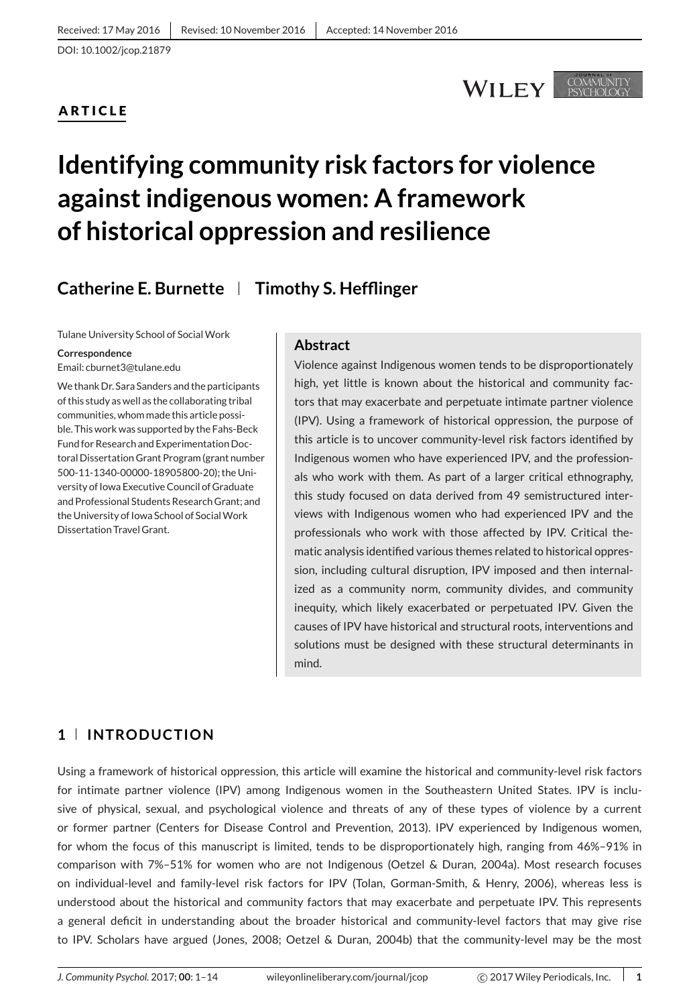# **ARTICLE**

# **WILEY**

COMMUNITY

# **Identifying community risk factors for violence against indigenous women: A framework of historical oppression and resilience**

# **Catherine E. Burnette Timothy S. Hefflinger**

Tulane University School of Social Work

**Correspondence**

Email: cburnet3@tulane.edu

We thank Dr. Sara Sanders and the participants of this study as well as the collaborating tribal communities, whom made this article possible. This work was supported by the Fahs-Beck Fund for Research and Experimentation Doctoral Dissertation Grant Program (grant number 500-11-1340-00000-18905800-20); the University of Iowa Executive Council of Graduate and Professional Students Research Grant; and the University of Iowa School of Social Work Dissertation Travel Grant.

#### **Abstract**

Violence against Indigenous women tends to be disproportionately high, yet little is known about the historical and community factors that may exacerbate and perpetuate intimate partner violence (IPV). Using a framework of historical oppression, the purpose of this article is to uncover community-level risk factors identified by Indigenous women who have experienced IPV, and the professionals who work with them. As part of a larger critical ethnography, this study focused on data derived from 49 semistructured interviews with Indigenous women who had experienced IPV and the professionals who work with those affected by IPV. Critical thematic analysis identified various themes related to historical oppression, including cultural disruption, IPV imposed and then internalized as a community norm, community divides, and community inequity, which likely exacerbated or perpetuated IPV. Given the causes of IPV have historical and structural roots, interventions and solutions must be designed with these structural determinants in mind.

# **1 INTRODUCTION**

Using a framework of historical oppression, this article will examine the historical and community-level risk factors for intimate partner violence (IPV) among Indigenous women in the Southeastern United States. IPV is inclusive of physical, sexual, and psychological violence and threats of any of these types of violence by a current or former partner (Centers for Disease Control and Prevention, 2013). IPV experienced by Indigenous women, for whom the focus of this manuscript is limited, tends to be disproportionately high, ranging from 46%–91% in comparison with 7%–51% for women who are not Indigenous (Oetzel & Duran, 2004a). Most research focuses on individual-level and family-level risk factors for IPV (Tolan, Gorman-Smith, & Henry, 2006), whereas less is understood about the historical and community factors that may exacerbate and perpetuate IPV. This represents a general deficit in understanding about the broader historical and community-level factors that may give rise to IPV. Scholars have argued (Jones, 2008; Oetzel & Duran, 2004b) that the community-level may be the most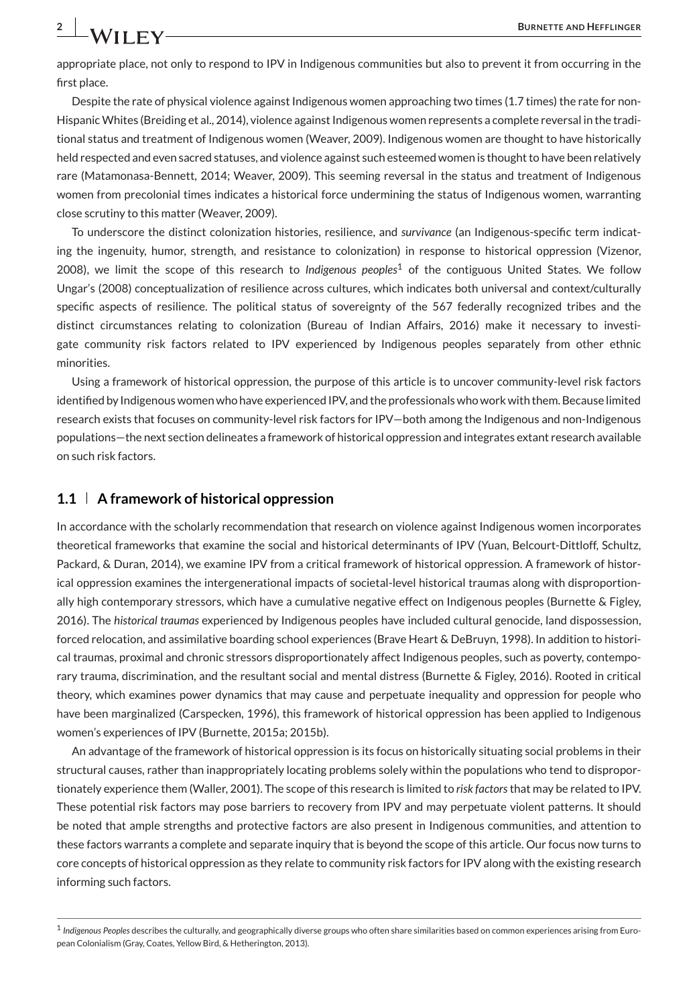appropriate place, not only to respond to IPV in Indigenous communities but also to prevent it from occurring in the first place.

Despite the rate of physical violence against Indigenous women approaching two times (1.7 times) the rate for non-HispanicWhites (Breiding et al., 2014), violence against Indigenous women represents a complete reversal in the traditional status and treatment of Indigenous women (Weaver, 2009). Indigenous women are thought to have historically held respected and even sacred statuses, and violence against such esteemed women is thought to have been relatively rare (Matamonasa-Bennett, 2014; Weaver, 2009). This seeming reversal in the status and treatment of Indigenous women from precolonial times indicates a historical force undermining the status of Indigenous women, warranting close scrutiny to this matter (Weaver, 2009).

To underscore the distinct colonization histories, resilience, and *survivance* (an Indigenous-specific term indicating the ingenuity, humor, strength, and resistance to colonization) in response to historical oppression (Vizenor, 2008), we limit the scope of this research to *Indigenous peoples*<sup>1</sup> of the contiguous United States. We follow Ungar's (2008) conceptualization of resilience across cultures, which indicates both universal and context/culturally specific aspects of resilience. The political status of sovereignty of the 567 federally recognized tribes and the distinct circumstances relating to colonization (Bureau of Indian Affairs, 2016) make it necessary to investigate community risk factors related to IPV experienced by Indigenous peoples separately from other ethnic minorities.

Using a framework of historical oppression, the purpose of this article is to uncover community-level risk factors identified by Indigenous women who have experienced IPV, and the professionals who work with them. Because limited research exists that focuses on community-level risk factors for IPV—both among the Indigenous and non-Indigenous populations—the next section delineates a framework of historical oppression and integrates extant research available on such risk factors.

#### **1.1 A framework of historical oppression**

In accordance with the scholarly recommendation that research on violence against Indigenous women incorporates theoretical frameworks that examine the social and historical determinants of IPV (Yuan, Belcourt-Dittloff, Schultz, Packard, & Duran, 2014), we examine IPV from a critical framework of historical oppression. A framework of historical oppression examines the intergenerational impacts of societal-level historical traumas along with disproportionally high contemporary stressors, which have a cumulative negative effect on Indigenous peoples (Burnette & Figley, 2016). The *historical traumas* experienced by Indigenous peoples have included cultural genocide, land dispossession, forced relocation, and assimilative boarding school experiences (Brave Heart & DeBruyn, 1998). In addition to historical traumas, proximal and chronic stressors disproportionately affect Indigenous peoples, such as poverty, contemporary trauma, discrimination, and the resultant social and mental distress (Burnette & Figley, 2016). Rooted in critical theory, which examines power dynamics that may cause and perpetuate inequality and oppression for people who have been marginalized (Carspecken, 1996), this framework of historical oppression has been applied to Indigenous women's experiences of IPV (Burnette, 2015a; 2015b).

An advantage of the framework of historical oppression is its focus on historically situating social problems in their structural causes, rather than inappropriately locating problems solely within the populations who tend to disproportionately experience them (Waller, 2001). The scope of this research is limited to *risk factors*that may be related to IPV. These potential risk factors may pose barriers to recovery from IPV and may perpetuate violent patterns. It should be noted that ample strengths and protective factors are also present in Indigenous communities, and attention to these factors warrants a complete and separate inquiry that is beyond the scope of this article. Our focus now turns to core concepts of historical oppression as they relate to community risk factors for IPV along with the existing research informing such factors.

<sup>1</sup> *Indigenous Peoples* describes the culturally, and geographically diverse groups who often share similarities based on common experiences arising from European Colonialism (Gray, Coates, Yellow Bird, & Hetherington, 2013).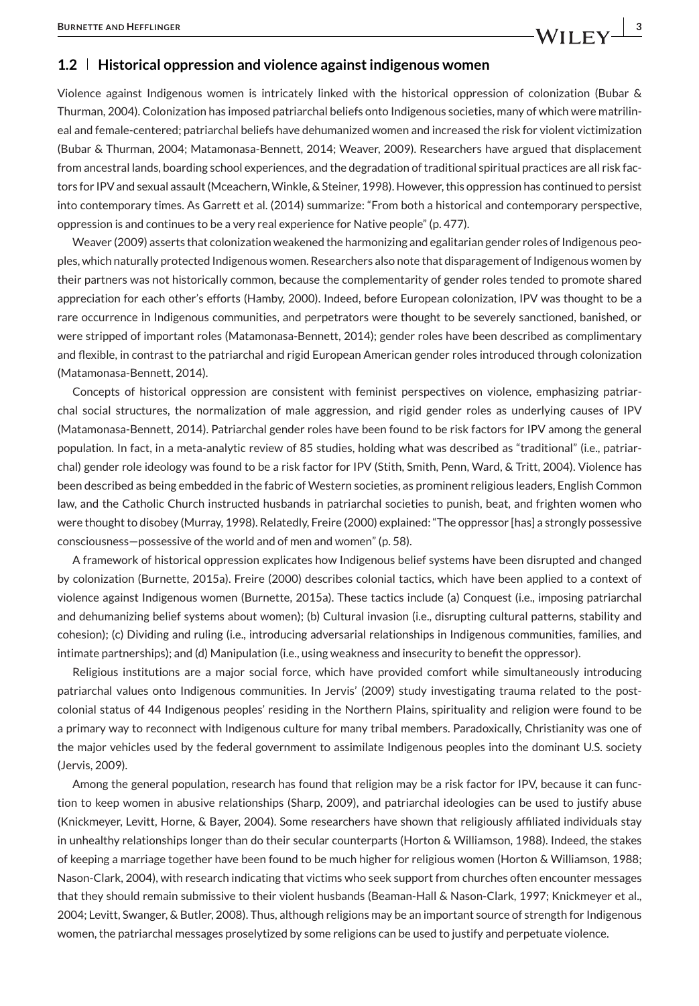#### **1.2 Historical oppression and violence against indigenous women**

Violence against Indigenous women is intricately linked with the historical oppression of colonization (Bubar & Thurman, 2004). Colonization has imposed patriarchal beliefs onto Indigenous societies, many of which were matrilineal and female-centered; patriarchal beliefs have dehumanized women and increased the risk for violent victimization (Bubar & Thurman, 2004; Matamonasa-Bennett, 2014; Weaver, 2009). Researchers have argued that displacement from ancestral lands, boarding school experiences, and the degradation of traditional spiritual practices are all risk factors for IPV and sexual assault (Mceachern, Winkle, & Steiner, 1998). However, this oppression has continued to persist into contemporary times. As Garrett et al. (2014) summarize: "From both a historical and contemporary perspective, oppression is and continues to be a very real experience for Native people" (p. 477).

Weaver (2009) asserts that colonization weakened the harmonizing and egalitarian gender roles of Indigenous peoples, which naturally protected Indigenous women. Researchers also note that disparagement of Indigenous women by their partners was not historically common, because the complementarity of gender roles tended to promote shared appreciation for each other's efforts (Hamby, 2000). Indeed, before European colonization, IPV was thought to be a rare occurrence in Indigenous communities, and perpetrators were thought to be severely sanctioned, banished, or were stripped of important roles (Matamonasa-Bennett, 2014); gender roles have been described as complimentary and flexible, in contrast to the patriarchal and rigid European American gender roles introduced through colonization (Matamonasa-Bennett, 2014).

Concepts of historical oppression are consistent with feminist perspectives on violence, emphasizing patriarchal social structures, the normalization of male aggression, and rigid gender roles as underlying causes of IPV (Matamonasa-Bennett, 2014). Patriarchal gender roles have been found to be risk factors for IPV among the general population. In fact, in a meta-analytic review of 85 studies, holding what was described as "traditional" (i.e., patriarchal) gender role ideology was found to be a risk factor for IPV (Stith, Smith, Penn, Ward, & Tritt, 2004). Violence has been described as being embedded in the fabric of Western societies, as prominent religious leaders, English Common law, and the Catholic Church instructed husbands in patriarchal societies to punish, beat, and frighten women who were thought to disobey (Murray, 1998). Relatedly, Freire (2000) explained: "The oppressor [has] a strongly possessive consciousness—possessive of the world and of men and women" (p. 58).

A framework of historical oppression explicates how Indigenous belief systems have been disrupted and changed by colonization (Burnette, 2015a). Freire (2000) describes colonial tactics, which have been applied to a context of violence against Indigenous women (Burnette, 2015a). These tactics include (a) Conquest (i.e., imposing patriarchal and dehumanizing belief systems about women); (b) Cultural invasion (i.e., disrupting cultural patterns, stability and cohesion); (c) Dividing and ruling (i.e., introducing adversarial relationships in Indigenous communities, families, and intimate partnerships); and (d) Manipulation (i.e., using weakness and insecurity to benefit the oppressor).

Religious institutions are a major social force, which have provided comfort while simultaneously introducing patriarchal values onto Indigenous communities. In Jervis' (2009) study investigating trauma related to the postcolonial status of 44 Indigenous peoples' residing in the Northern Plains, spirituality and religion were found to be a primary way to reconnect with Indigenous culture for many tribal members. Paradoxically, Christianity was one of the major vehicles used by the federal government to assimilate Indigenous peoples into the dominant U.S. society (Jervis, 2009).

Among the general population, research has found that religion may be a risk factor for IPV, because it can function to keep women in abusive relationships (Sharp, 2009), and patriarchal ideologies can be used to justify abuse (Knickmeyer, Levitt, Horne, & Bayer, 2004). Some researchers have shown that religiously affiliated individuals stay in unhealthy relationships longer than do their secular counterparts (Horton & Williamson, 1988). Indeed, the stakes of keeping a marriage together have been found to be much higher for religious women (Horton & Williamson, 1988; Nason-Clark, 2004), with research indicating that victims who seek support from churches often encounter messages that they should remain submissive to their violent husbands (Beaman-Hall & Nason-Clark, 1997; Knickmeyer et al., 2004; Levitt, Swanger, & Butler, 2008). Thus, although religions may be an important source of strength for Indigenous women, the patriarchal messages proselytized by some religions can be used to justify and perpetuate violence.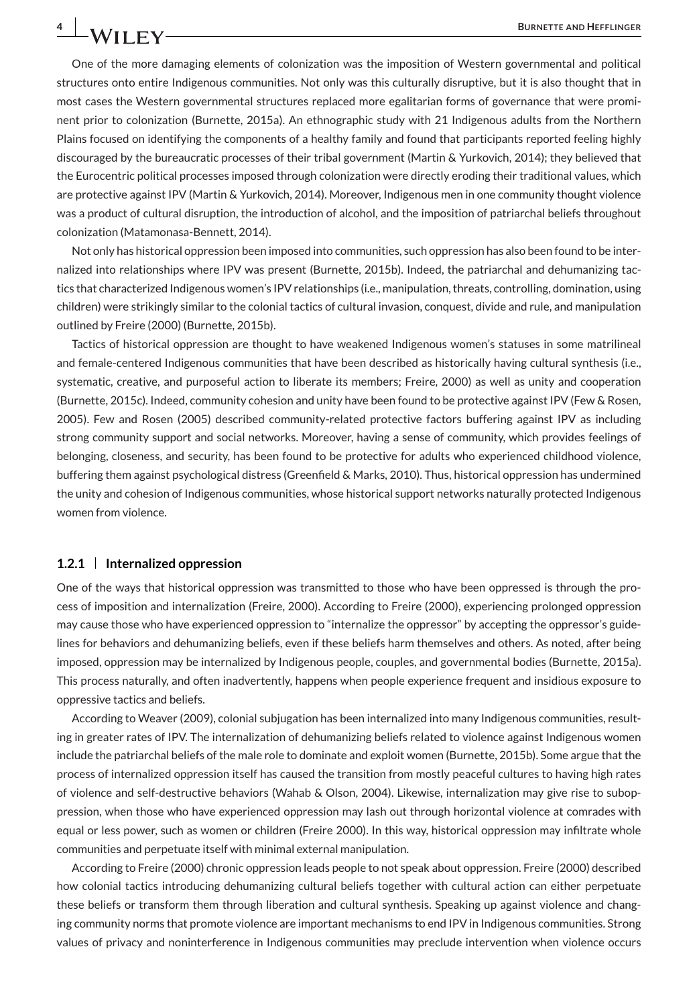One of the more damaging elements of colonization was the imposition of Western governmental and political structures onto entire Indigenous communities. Not only was this culturally disruptive, but it is also thought that in most cases the Western governmental structures replaced more egalitarian forms of governance that were prominent prior to colonization (Burnette, 2015a). An ethnographic study with 21 Indigenous adults from the Northern Plains focused on identifying the components of a healthy family and found that participants reported feeling highly discouraged by the bureaucratic processes of their tribal government (Martin & Yurkovich, 2014); they believed that the Eurocentric political processes imposed through colonization were directly eroding their traditional values, which are protective against IPV (Martin & Yurkovich, 2014). Moreover, Indigenous men in one community thought violence was a product of cultural disruption, the introduction of alcohol, and the imposition of patriarchal beliefs throughout colonization (Matamonasa-Bennett, 2014).

Not only has historical oppression been imposed into communities, such oppression has also been found to be internalized into relationships where IPV was present (Burnette, 2015b). Indeed, the patriarchal and dehumanizing tactics that characterized Indigenous women's IPV relationships (i.e., manipulation, threats, controlling, domination, using children) were strikingly similar to the colonial tactics of cultural invasion, conquest, divide and rule, and manipulation outlined by Freire (2000) (Burnette, 2015b).

Tactics of historical oppression are thought to have weakened Indigenous women's statuses in some matrilineal and female-centered Indigenous communities that have been described as historically having cultural synthesis (i.e., systematic, creative, and purposeful action to liberate its members; Freire, 2000) as well as unity and cooperation (Burnette, 2015c). Indeed, community cohesion and unity have been found to be protective against IPV (Few & Rosen, 2005). Few and Rosen (2005) described community-related protective factors buffering against IPV as including strong community support and social networks. Moreover, having a sense of community, which provides feelings of belonging, closeness, and security, has been found to be protective for adults who experienced childhood violence, buffering them against psychological distress (Greenfield & Marks, 2010). Thus, historical oppression has undermined the unity and cohesion of Indigenous communities, whose historical support networks naturally protected Indigenous women from violence.

#### **1.2.1 Internalized oppression**

One of the ways that historical oppression was transmitted to those who have been oppressed is through the process of imposition and internalization (Freire, 2000). According to Freire (2000), experiencing prolonged oppression may cause those who have experienced oppression to "internalize the oppressor" by accepting the oppressor's guidelines for behaviors and dehumanizing beliefs, even if these beliefs harm themselves and others. As noted, after being imposed, oppression may be internalized by Indigenous people, couples, and governmental bodies (Burnette, 2015a). This process naturally, and often inadvertently, happens when people experience frequent and insidious exposure to oppressive tactics and beliefs.

According to Weaver (2009), colonial subjugation has been internalized into many Indigenous communities, resulting in greater rates of IPV. The internalization of dehumanizing beliefs related to violence against Indigenous women include the patriarchal beliefs of the male role to dominate and exploit women (Burnette, 2015b). Some argue that the process of internalized oppression itself has caused the transition from mostly peaceful cultures to having high rates of violence and self-destructive behaviors (Wahab & Olson, 2004). Likewise, internalization may give rise to suboppression, when those who have experienced oppression may lash out through horizontal violence at comrades with equal or less power, such as women or children (Freire 2000). In this way, historical oppression may infiltrate whole communities and perpetuate itself with minimal external manipulation.

According to Freire (2000) chronic oppression leads people to not speak about oppression. Freire (2000) described how colonial tactics introducing dehumanizing cultural beliefs together with cultural action can either perpetuate these beliefs or transform them through liberation and cultural synthesis. Speaking up against violence and changing community norms that promote violence are important mechanisms to end IPV in Indigenous communities. Strong values of privacy and noninterference in Indigenous communities may preclude intervention when violence occurs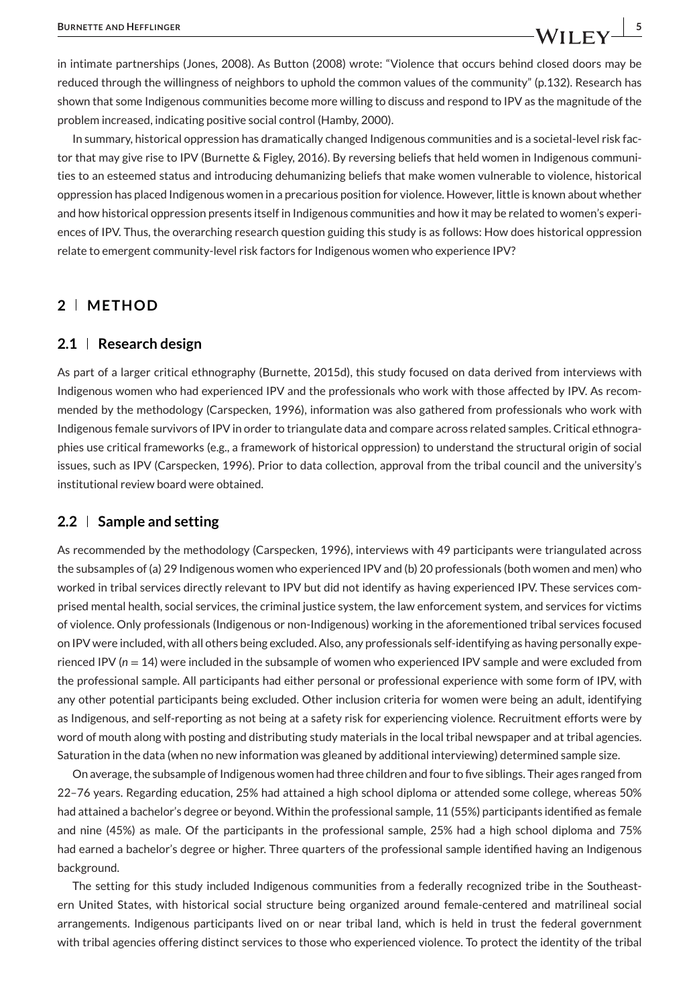in intimate partnerships (Jones, 2008). As Button (2008) wrote: "Violence that occurs behind closed doors may be reduced through the willingness of neighbors to uphold the common values of the community" (p.132). Research has shown that some Indigenous communities become more willing to discuss and respond to IPV as the magnitude of the problem increased, indicating positive social control (Hamby, 2000).

In summary, historical oppression has dramatically changed Indigenous communities and is a societal-level risk factor that may give rise to IPV (Burnette & Figley, 2016). By reversing beliefs that held women in Indigenous communities to an esteemed status and introducing dehumanizing beliefs that make women vulnerable to violence, historical oppression has placed Indigenous women in a precarious position for violence. However, little is known about whether and how historical oppression presents itself in Indigenous communities and how it may be related to women's experiences of IPV. Thus, the overarching research question guiding this study is as follows: How does historical oppression relate to emergent community-level risk factors for Indigenous women who experience IPV?

#### **2 METHOD**

#### **2.1 Research design**

As part of a larger critical ethnography (Burnette, 2015d), this study focused on data derived from interviews with Indigenous women who had experienced IPV and the professionals who work with those affected by IPV. As recommended by the methodology (Carspecken, 1996), information was also gathered from professionals who work with Indigenous female survivors of IPV in order to triangulate data and compare across related samples. Critical ethnographies use critical frameworks (e.g., a framework of historical oppression) to understand the structural origin of social issues, such as IPV (Carspecken, 1996). Prior to data collection, approval from the tribal council and the university's institutional review board were obtained.

#### **2.2 Sample and setting**

As recommended by the methodology (Carspecken, 1996), interviews with 49 participants were triangulated across the subsamples of (a) 29 Indigenous women who experienced IPV and (b) 20 professionals (both women and men) who worked in tribal services directly relevant to IPV but did not identify as having experienced IPV. These services comprised mental health, social services, the criminal justice system, the law enforcement system, and services for victims of violence. Only professionals (Indigenous or non-Indigenous) working in the aforementioned tribal services focused on IPV were included, with all others being excluded. Also, any professionals self-identifying as having personally experienced IPV (*n* = 14) were included in the subsample of women who experienced IPV sample and were excluded from the professional sample. All participants had either personal or professional experience with some form of IPV, with any other potential participants being excluded. Other inclusion criteria for women were being an adult, identifying as Indigenous, and self-reporting as not being at a safety risk for experiencing violence. Recruitment efforts were by word of mouth along with posting and distributing study materials in the local tribal newspaper and at tribal agencies. Saturation in the data (when no new information was gleaned by additional interviewing) determined sample size.

On average, the subsample of Indigenous women had three children and four to five siblings. Their ages ranged from 22–76 years. Regarding education, 25% had attained a high school diploma or attended some college, whereas 50% had attained a bachelor's degree or beyond. Within the professional sample, 11 (55%) participants identified as female and nine (45%) as male. Of the participants in the professional sample, 25% had a high school diploma and 75% had earned a bachelor's degree or higher. Three quarters of the professional sample identified having an Indigenous background.

The setting for this study included Indigenous communities from a federally recognized tribe in the Southeastern United States, with historical social structure being organized around female-centered and matrilineal social arrangements. Indigenous participants lived on or near tribal land, which is held in trust the federal government with tribal agencies offering distinct services to those who experienced violence. To protect the identity of the tribal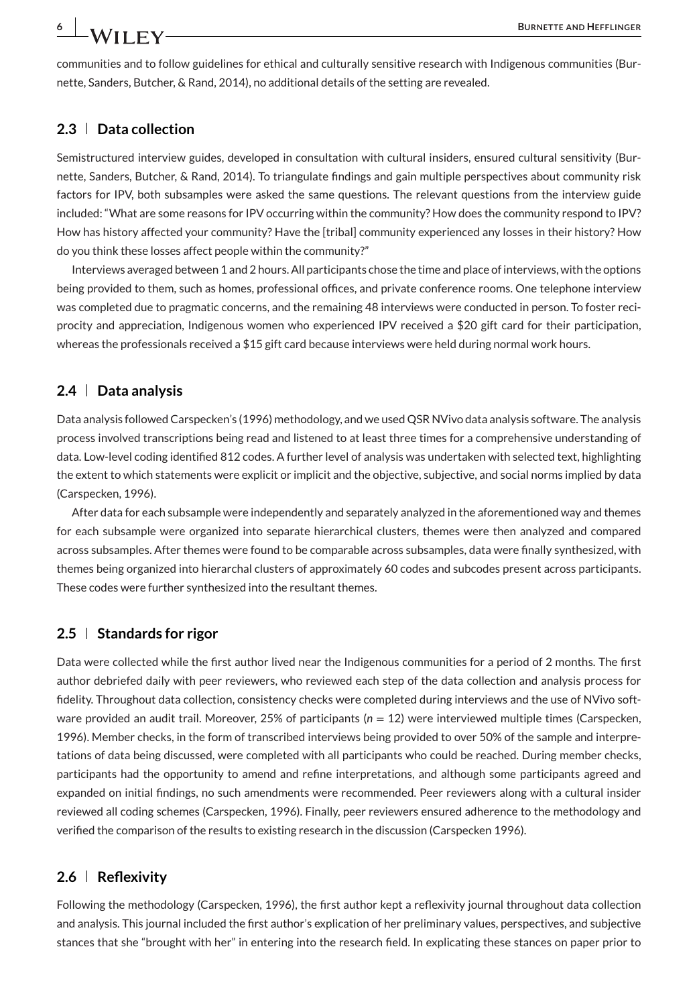communities and to follow guidelines for ethical and culturally sensitive research with Indigenous communities (Burnette, Sanders, Butcher, & Rand, 2014), no additional details of the setting are revealed.

# **2.3 Data collection**

Semistructured interview guides, developed in consultation with cultural insiders, ensured cultural sensitivity (Burnette, Sanders, Butcher, & Rand, 2014). To triangulate findings and gain multiple perspectives about community risk factors for IPV, both subsamples were asked the same questions. The relevant questions from the interview guide included: "What are some reasons for IPV occurring within the community? How does the community respond to IPV? How has history affected your community? Have the [tribal] community experienced any losses in their history? How do you think these losses affect people within the community?"

Interviews averaged between 1 and 2 hours. All participants chose the time and place of interviews, with the options being provided to them, such as homes, professional offices, and private conference rooms. One telephone interview was completed due to pragmatic concerns, and the remaining 48 interviews were conducted in person. To foster reciprocity and appreciation, Indigenous women who experienced IPV received a \$20 gift card for their participation, whereas the professionals received a \$15 gift card because interviews were held during normal work hours.

#### **2.4 Data analysis**

Data analysis followed Carspecken's (1996) methodology, and we used QSR NVivo data analysis software. The analysis process involved transcriptions being read and listened to at least three times for a comprehensive understanding of data. Low-level coding identified 812 codes. A further level of analysis was undertaken with selected text, highlighting the extent to which statements were explicit or implicit and the objective, subjective, and social norms implied by data (Carspecken, 1996).

After data for each subsample were independently and separately analyzed in the aforementioned way and themes for each subsample were organized into separate hierarchical clusters, themes were then analyzed and compared across subsamples. After themes were found to be comparable across subsamples, data were finally synthesized, with themes being organized into hierarchal clusters of approximately 60 codes and subcodes present across participants. These codes were further synthesized into the resultant themes.

#### **2.5 Standards for rigor**

Data were collected while the first author lived near the Indigenous communities for a period of 2 months. The first author debriefed daily with peer reviewers, who reviewed each step of the data collection and analysis process for fidelity. Throughout data collection, consistency checks were completed during interviews and the use of NVivo software provided an audit trail. Moreover, 25% of participants ( $n = 12$ ) were interviewed multiple times (Carspecken, 1996). Member checks, in the form of transcribed interviews being provided to over 50% of the sample and interpretations of data being discussed, were completed with all participants who could be reached. During member checks, participants had the opportunity to amend and refine interpretations, and although some participants agreed and expanded on initial findings, no such amendments were recommended. Peer reviewers along with a cultural insider reviewed all coding schemes (Carspecken, 1996). Finally, peer reviewers ensured adherence to the methodology and verified the comparison of the results to existing research in the discussion (Carspecken 1996).

#### **2.6 Reflexivity**

Following the methodology (Carspecken, 1996), the first author kept a reflexivity journal throughout data collection and analysis. This journal included the first author's explication of her preliminary values, perspectives, and subjective stances that she "brought with her" in entering into the research field. In explicating these stances on paper prior to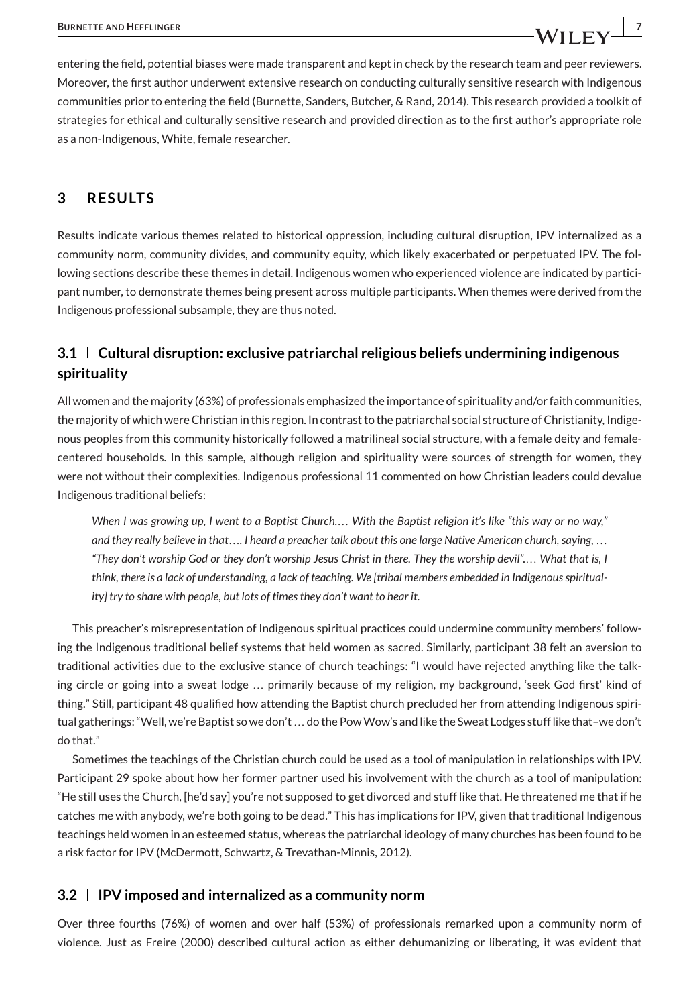entering the field, potential biases were made transparent and kept in check by the research team and peer reviewers. Moreover, the first author underwent extensive research on conducting culturally sensitive research with Indigenous communities prior to entering the field (Burnette, Sanders, Butcher, & Rand, 2014). This research provided a toolkit of strategies for ethical and culturally sensitive research and provided direction as to the first author's appropriate role as a non-Indigenous, White, female researcher.

# **3 RESULTS**

Results indicate various themes related to historical oppression, including cultural disruption, IPV internalized as a community norm, community divides, and community equity, which likely exacerbated or perpetuated IPV. The following sections describe these themes in detail. Indigenous women who experienced violence are indicated by participant number, to demonstrate themes being present across multiple participants. When themes were derived from the Indigenous professional subsample, they are thus noted.

# **3.1 Cultural disruption: exclusive patriarchal religious beliefs undermining indigenous spirituality**

All women and the majority (63%) of professionals emphasized the importance of spirituality and/or faith communities, the majority of which were Christian in this region. In contrast to the patriarchal social structure of Christianity, Indigenous peoples from this community historically followed a matrilineal social structure, with a female deity and femalecentered households. In this sample, although religion and spirituality were sources of strength for women, they were not without their complexities. Indigenous professional 11 commented on how Christian leaders could devalue Indigenous traditional beliefs:

*When I was growing up, I went to a Baptist Church.*… *With the Baptist religion it's like "this way or no way," and they really believe in that*…*. I heard a preacher talk about this one large Native American church, saying,* … *"They don't worship God or they don't worship Jesus Christ in there. They the worship devil".*… *What that is, I think, there is a lack of understanding, a lack of teaching. We [tribal members embedded in Indigenous spirituality] try to share with people, but lots of times they don't want to hear it.*

This preacher's misrepresentation of Indigenous spiritual practices could undermine community members' following the Indigenous traditional belief systems that held women as sacred. Similarly, participant 38 felt an aversion to traditional activities due to the exclusive stance of church teachings: "I would have rejected anything like the talking circle or going into a sweat lodge … primarily because of my religion, my background, 'seek God first' kind of thing." Still, participant 48 qualified how attending the Baptist church precluded her from attending Indigenous spiritual gatherings: "Well, we're Baptist so we don't ... do the Pow Wow's and like the Sweat Lodges stuff like that-we don't do that."

Sometimes the teachings of the Christian church could be used as a tool of manipulation in relationships with IPV. Participant 29 spoke about how her former partner used his involvement with the church as a tool of manipulation: "He still uses the Church, [he'd say] you're not supposed to get divorced and stuff like that. He threatened me that if he catches me with anybody, we're both going to be dead." This has implications for IPV, given that traditional Indigenous teachings held women in an esteemed status, whereas the patriarchal ideology of many churches has been found to be a risk factor for IPV (McDermott, Schwartz, & Trevathan-Minnis, 2012).

# **3.2 IPV imposed and internalized as a community norm**

Over three fourths (76%) of women and over half (53%) of professionals remarked upon a community norm of violence. Just as Freire (2000) described cultural action as either dehumanizing or liberating, it was evident that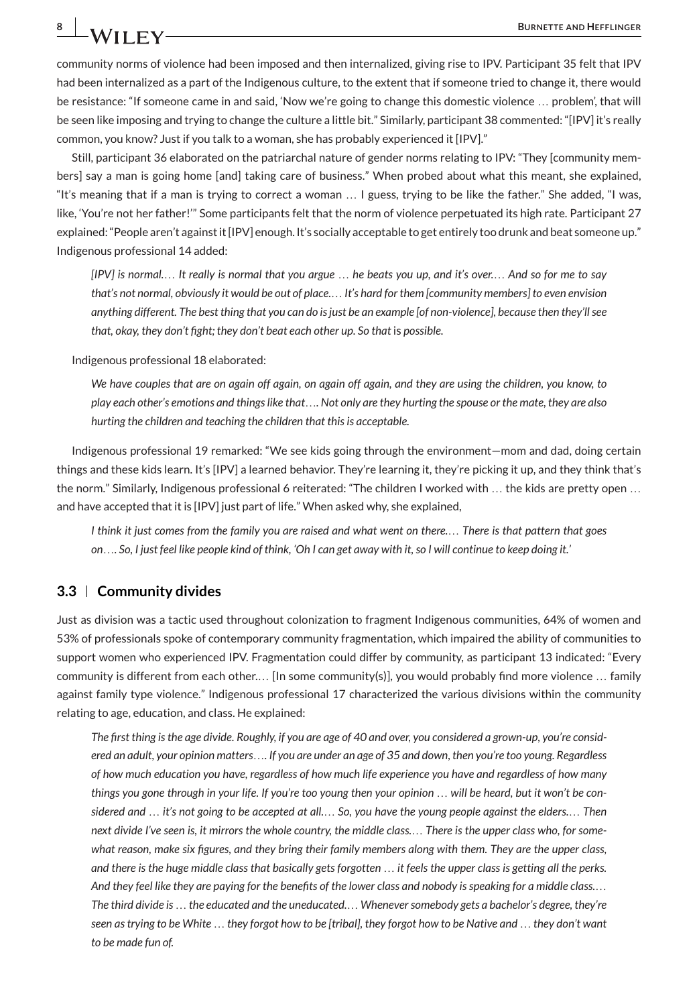community norms of violence had been imposed and then internalized, giving rise to IPV. Participant 35 felt that IPV had been internalized as a part of the Indigenous culture, to the extent that if someone tried to change it, there would be resistance: "If someone came in and said, 'Now we're going to change this domestic violence … problem', that will be seen like imposing and trying to change the culture a little bit." Similarly, participant 38 commented: "[IPV] it's really common, you know? Just if you talk to a woman, she has probably experienced it [IPV]."

Still, participant 36 elaborated on the patriarchal nature of gender norms relating to IPV: "They [community members] say a man is going home [and] taking care of business." When probed about what this meant, she explained, "It's meaning that if a man is trying to correct a woman … I guess, trying to be like the father." She added, "I was, like, 'You're not her father!'" Some participants felt that the norm of violence perpetuated its high rate. Participant 27 explained: "People aren't against it [IPV] enough. It's socially acceptable to get entirely too drunk and beat someone up." Indigenous professional 14 added:

*[IPV] is normal.*… *It really is normal that you argue* … *he beats you up, and it's over.*… *And so for me to say that's not normal, obviously it would be out of place.*… *It's hard for them [community members] to even envision anything different. The best thing that you can do is just be an example [of non-violence], because then they'll see that, okay, they don't fight; they don't beat each other up. So that* is *possible.*

Indigenous professional 18 elaborated:

*We have couples that are on again off again, on again off again, and they are using the children, you know, to play each other's emotions and things like that*…*. Not only are they hurting the spouse or the mate, they are also hurting the children and teaching the children that this is acceptable.*

Indigenous professional 19 remarked: "We see kids going through the environment—mom and dad, doing certain things and these kids learn. It's [IPV] a learned behavior. They're learning it, they're picking it up, and they think that's the norm." Similarly, Indigenous professional 6 reiterated: "The children I worked with … the kids are pretty open … and have accepted that it is [IPV] just part of life." When asked why, she explained,

*I think it just comes from the family you are raised and what went on there.*… *There is that pattern that goes on*…*. So, I just feel like people kind of think, 'Oh I can get away with it, so I will continue to keep doing it.'*

#### **3.3 Community divides**

Just as division was a tactic used throughout colonization to fragment Indigenous communities, 64% of women and 53% of professionals spoke of contemporary community fragmentation, which impaired the ability of communities to support women who experienced IPV. Fragmentation could differ by community, as participant 13 indicated: "Every community is different from each other.… [In some community(s)], you would probably find more violence … family against family type violence." Indigenous professional 17 characterized the various divisions within the community relating to age, education, and class. He explained:

*The first thing is the age divide. Roughly, if you are age of 40 and over, you considered a grown-up, you're considered an adult, your opinion matters*…*. If you are under an age of 35 and down, then you're too young. Regardless of how much education you have, regardless of how much life experience you have and regardless of how many things you gone through in your life. If you're too young then your opinion* … *will be heard, but it won't be considered and* … *it's not going to be accepted at all.*… *So, you have the young people against the elders.*… *Then next divide I've seen is, it mirrors the whole country, the middle class.*… *There is the upper class who, for somewhat reason, make six figures, and they bring their family members along with them. They are the upper class, and there is the huge middle class that basically gets forgotten* … *it feels the upper class is getting all the perks. And they feel like they are paying for the benefits of the lower class and nobody is speaking for a middle class.*… *The third divide is* … *the educated and the uneducated.*… *Whenever somebody gets a bachelor's degree, they're seen as trying to be White* … *they forgot how to be [tribal], they forgot how to be Native and* … *they don't want to be made fun of.*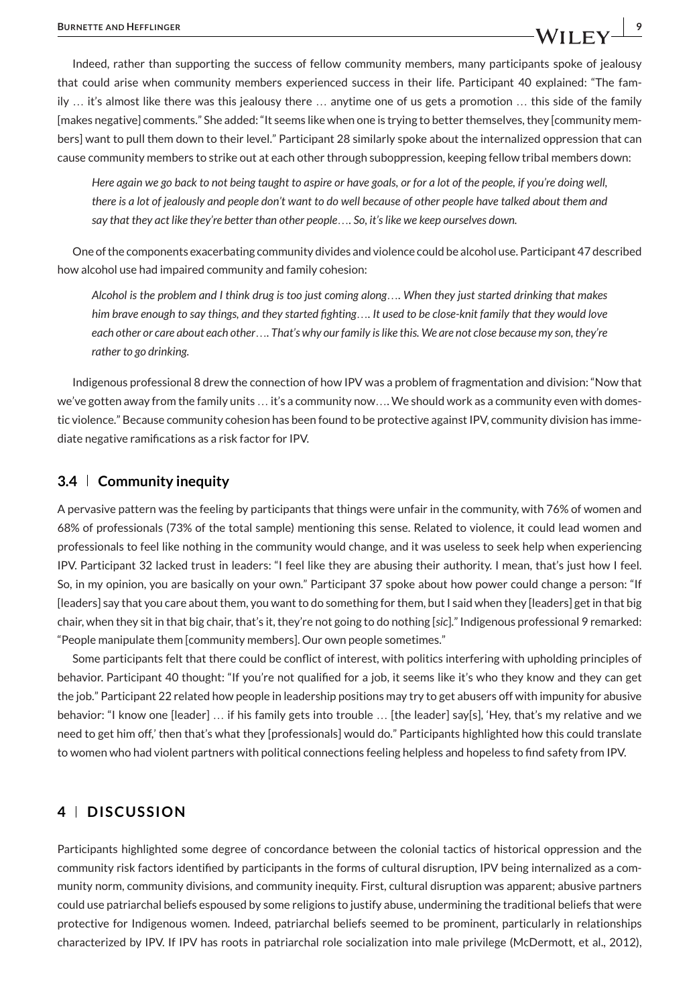Indeed, rather than supporting the success of fellow community members, many participants spoke of jealousy that could arise when community members experienced success in their life. Participant 40 explained: "The family … it's almost like there was this jealousy there … anytime one of us gets a promotion … this side of the family [makes negative] comments." She added: "It seems like when one is trying to better themselves, they [community members] want to pull them down to their level." Participant 28 similarly spoke about the internalized oppression that can cause community members to strike out at each other through suboppression, keeping fellow tribal members down:

*Here again we go back to not being taught to aspire or have goals, or for a lot of the people, if you're doing well, there is a lot of jealously and people don't want to do well because of other people have talked about them and say that they act like they're better than other people*…*. So, it's like we keep ourselves down.*

One of the components exacerbating community divides and violence could be alcohol use. Participant 47 described how alcohol use had impaired community and family cohesion:

*Alcohol is the problem and I think drug is too just coming along*…*. When they just started drinking that makes him brave enough to say things, and they started fighting*…*. It used to be close-knit family that they would love each other or care about each other*…*. That's why our family is like this. We are not close because my son, they're rather to go drinking.*

Indigenous professional 8 drew the connection of how IPV was a problem of fragmentation and division: "Now that we've gotten away from the family units … it's a community now…. We should work as a community even with domestic violence." Because community cohesion has been found to be protective against IPV, community division has immediate negative ramifications as a risk factor for IPV.

#### **3.4 Community inequity**

A pervasive pattern was the feeling by participants that things were unfair in the community, with 76% of women and 68% of professionals (73% of the total sample) mentioning this sense. Related to violence, it could lead women and professionals to feel like nothing in the community would change, and it was useless to seek help when experiencing IPV. Participant 32 lacked trust in leaders: "I feel like they are abusing their authority. I mean, that's just how I feel. So, in my opinion, you are basically on your own." Participant 37 spoke about how power could change a person: "If [leaders] say that you care about them, you want to do something for them, but I said when they [leaders] get in that big chair, when they sit in that big chair, that's it, they're not going to do nothing [*sic*]." Indigenous professional 9 remarked: "People manipulate them [community members]. Our own people sometimes."

Some participants felt that there could be conflict of interest, with politics interfering with upholding principles of behavior. Participant 40 thought: "If you're not qualified for a job, it seems like it's who they know and they can get the job." Participant 22 related how people in leadership positions may try to get abusers off with impunity for abusive behavior: "I know one [leader] … if his family gets into trouble … [the leader] say[s], 'Hey, that's my relative and we need to get him off,' then that's what they [professionals] would do." Participants highlighted how this could translate to women who had violent partners with political connections feeling helpless and hopeless to find safety from IPV.

# **4 DISCUSSION**

Participants highlighted some degree of concordance between the colonial tactics of historical oppression and the community risk factors identified by participants in the forms of cultural disruption, IPV being internalized as a community norm, community divisions, and community inequity. First, cultural disruption was apparent; abusive partners could use patriarchal beliefs espoused by some religions to justify abuse, undermining the traditional beliefs that were protective for Indigenous women. Indeed, patriarchal beliefs seemed to be prominent, particularly in relationships characterized by IPV. If IPV has roots in patriarchal role socialization into male privilege (McDermott, et al., 2012),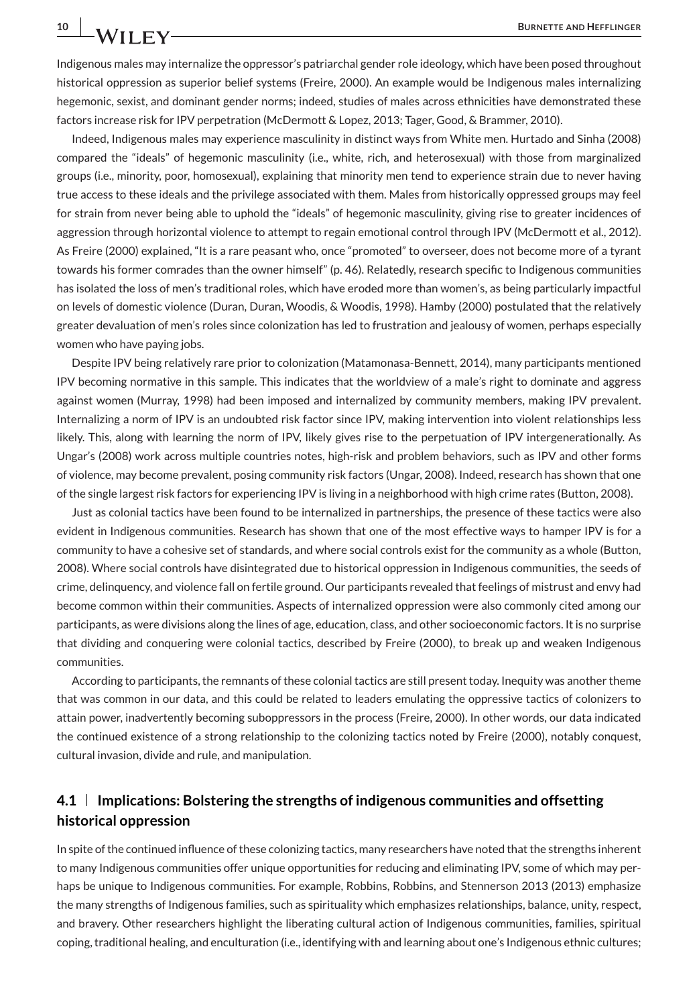Indigenous males may internalize the oppressor's patriarchal gender role ideology, which have been posed throughout historical oppression as superior belief systems (Freire, 2000). An example would be Indigenous males internalizing hegemonic, sexist, and dominant gender norms; indeed, studies of males across ethnicities have demonstrated these factors increase risk for IPV perpetration (McDermott & Lopez, 2013; Tager, Good, & Brammer, 2010).

Indeed, Indigenous males may experience masculinity in distinct ways from White men. Hurtado and Sinha (2008) compared the "ideals" of hegemonic masculinity (i.e., white, rich, and heterosexual) with those from marginalized groups (i.e., minority, poor, homosexual), explaining that minority men tend to experience strain due to never having true access to these ideals and the privilege associated with them. Males from historically oppressed groups may feel for strain from never being able to uphold the "ideals" of hegemonic masculinity, giving rise to greater incidences of aggression through horizontal violence to attempt to regain emotional control through IPV (McDermott et al., 2012). As Freire (2000) explained, "It is a rare peasant who, once "promoted" to overseer, does not become more of a tyrant towards his former comrades than the owner himself" (p. 46). Relatedly, research specific to Indigenous communities has isolated the loss of men's traditional roles, which have eroded more than women's, as being particularly impactful on levels of domestic violence (Duran, Duran, Woodis, & Woodis, 1998). Hamby (2000) postulated that the relatively greater devaluation of men's roles since colonization has led to frustration and jealousy of women, perhaps especially women who have paying jobs.

Despite IPV being relatively rare prior to colonization (Matamonasa-Bennett, 2014), many participants mentioned IPV becoming normative in this sample. This indicates that the worldview of a male's right to dominate and aggress against women (Murray, 1998) had been imposed and internalized by community members, making IPV prevalent. Internalizing a norm of IPV is an undoubted risk factor since IPV, making intervention into violent relationships less likely. This, along with learning the norm of IPV, likely gives rise to the perpetuation of IPV intergenerationally. As Ungar's (2008) work across multiple countries notes, high-risk and problem behaviors, such as IPV and other forms of violence, may become prevalent, posing community risk factors (Ungar, 2008). Indeed, research has shown that one of the single largest risk factors for experiencing IPV is living in a neighborhood with high crime rates (Button, 2008).

Just as colonial tactics have been found to be internalized in partnerships, the presence of these tactics were also evident in Indigenous communities. Research has shown that one of the most effective ways to hamper IPV is for a community to have a cohesive set of standards, and where social controls exist for the community as a whole (Button, 2008). Where social controls have disintegrated due to historical oppression in Indigenous communities, the seeds of crime, delinquency, and violence fall on fertile ground. Our participants revealed that feelings of mistrust and envy had become common within their communities. Aspects of internalized oppression were also commonly cited among our participants, as were divisions along the lines of age, education, class, and other socioeconomic factors. It is no surprise that dividing and conquering were colonial tactics, described by Freire (2000), to break up and weaken Indigenous communities.

According to participants, the remnants of these colonial tactics are still present today. Inequity was another theme that was common in our data, and this could be related to leaders emulating the oppressive tactics of colonizers to attain power, inadvertently becoming suboppressors in the process (Freire, 2000). In other words, our data indicated the continued existence of a strong relationship to the colonizing tactics noted by Freire (2000), notably conquest, cultural invasion, divide and rule, and manipulation.

# **4.1 Implications: Bolstering the strengths of indigenous communities and offsetting historical oppression**

In spite of the continued influence of these colonizing tactics, many researchers have noted that the strengths inherent to many Indigenous communities offer unique opportunities for reducing and eliminating IPV, some of which may perhaps be unique to Indigenous communities. For example, Robbins, Robbins, and Stennerson 2013 (2013) emphasize the many strengths of Indigenous families, such as spirituality which emphasizes relationships, balance, unity, respect, and bravery. Other researchers highlight the liberating cultural action of Indigenous communities, families, spiritual coping, traditional healing, and enculturation (i.e., identifying with and learning about one's Indigenous ethnic cultures;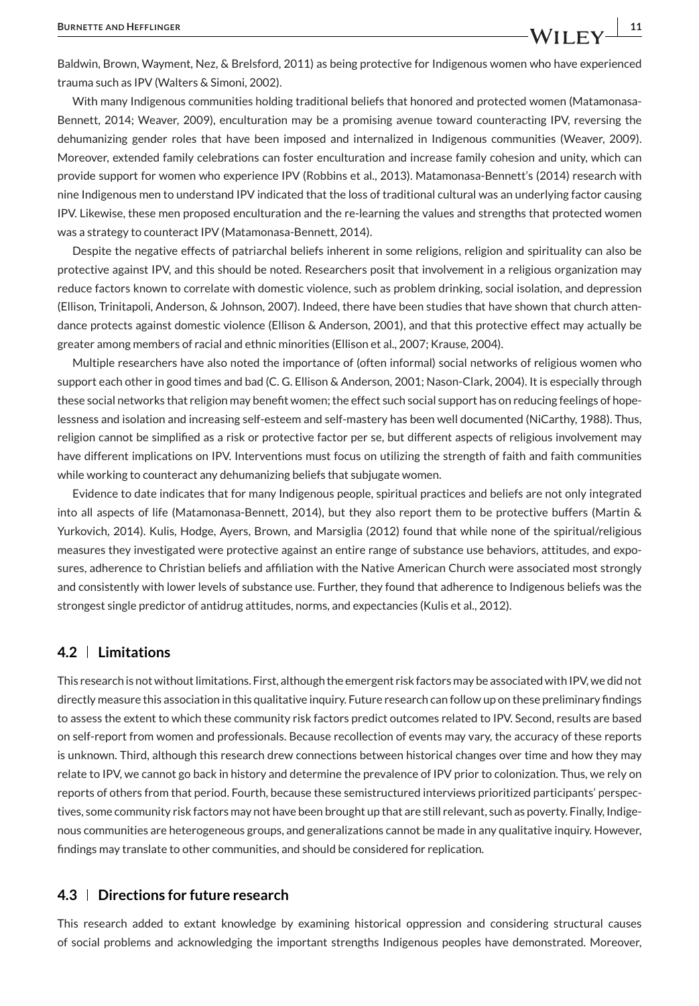Baldwin, Brown, Wayment, Nez, & Brelsford, 2011) as being protective for Indigenous women who have experienced trauma such as IPV (Walters & Simoni, 2002).

With many Indigenous communities holding traditional beliefs that honored and protected women (Matamonasa-Bennett, 2014; Weaver, 2009), enculturation may be a promising avenue toward counteracting IPV, reversing the dehumanizing gender roles that have been imposed and internalized in Indigenous communities (Weaver, 2009). Moreover, extended family celebrations can foster enculturation and increase family cohesion and unity, which can provide support for women who experience IPV (Robbins et al., 2013). Matamonasa-Bennett's (2014) research with nine Indigenous men to understand IPV indicated that the loss of traditional cultural was an underlying factor causing IPV. Likewise, these men proposed enculturation and the re-learning the values and strengths that protected women was a strategy to counteract IPV (Matamonasa-Bennett, 2014).

Despite the negative effects of patriarchal beliefs inherent in some religions, religion and spirituality can also be protective against IPV, and this should be noted. Researchers posit that involvement in a religious organization may reduce factors known to correlate with domestic violence, such as problem drinking, social isolation, and depression (Ellison, Trinitapoli, Anderson, & Johnson, 2007). Indeed, there have been studies that have shown that church attendance protects against domestic violence (Ellison & Anderson, 2001), and that this protective effect may actually be greater among members of racial and ethnic minorities (Ellison et al., 2007; Krause, 2004).

Multiple researchers have also noted the importance of (often informal) social networks of religious women who support each other in good times and bad (C. G. Ellison & Anderson, 2001; Nason-Clark, 2004). It is especially through these social networks that religion may benefit women; the effect such social support has on reducing feelings of hopelessness and isolation and increasing self-esteem and self-mastery has been well documented (NiCarthy, 1988). Thus, religion cannot be simplified as a risk or protective factor per se, but different aspects of religious involvement may have different implications on IPV. Interventions must focus on utilizing the strength of faith and faith communities while working to counteract any dehumanizing beliefs that subjugate women.

Evidence to date indicates that for many Indigenous people, spiritual practices and beliefs are not only integrated into all aspects of life (Matamonasa-Bennett, 2014), but they also report them to be protective buffers (Martin & Yurkovich, 2014). Kulis, Hodge, Ayers, Brown, and Marsiglia (2012) found that while none of the spiritual/religious measures they investigated were protective against an entire range of substance use behaviors, attitudes, and exposures, adherence to Christian beliefs and affiliation with the Native American Church were associated most strongly and consistently with lower levels of substance use. Further, they found that adherence to Indigenous beliefs was the strongest single predictor of antidrug attitudes, norms, and expectancies (Kulis et al., 2012).

# **4.2 Limitations**

This research is not without limitations. First, although the emergent risk factors may be associated with IPV, we did not directly measure this association in this qualitative inquiry. Future research can follow up on these preliminary findings to assess the extent to which these community risk factors predict outcomes related to IPV. Second, results are based on self-report from women and professionals. Because recollection of events may vary, the accuracy of these reports is unknown. Third, although this research drew connections between historical changes over time and how they may relate to IPV, we cannot go back in history and determine the prevalence of IPV prior to colonization. Thus, we rely on reports of others from that period. Fourth, because these semistructured interviews prioritized participants' perspectives, some community risk factors may not have been brought up that are still relevant, such as poverty. Finally, Indigenous communities are heterogeneous groups, and generalizations cannot be made in any qualitative inquiry. However, findings may translate to other communities, and should be considered for replication.

## **4.3 Directions for future research**

This research added to extant knowledge by examining historical oppression and considering structural causes of social problems and acknowledging the important strengths Indigenous peoples have demonstrated. Moreover,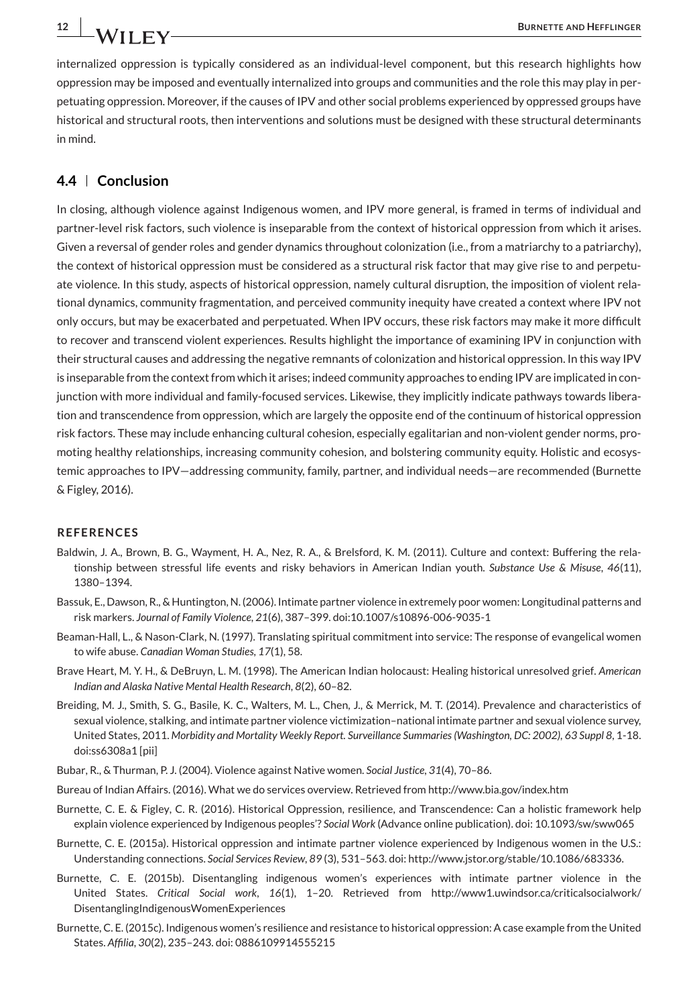internalized oppression is typically considered as an individual-level component, but this research highlights how oppression may be imposed and eventually internalized into groups and communities and the role this may play in perpetuating oppression. Moreover, if the causes of IPV and other social problems experienced by oppressed groups have historical and structural roots, then interventions and solutions must be designed with these structural determinants in mind.

### **4.4 Conclusion**

In closing, although violence against Indigenous women, and IPV more general, is framed in terms of individual and partner-level risk factors, such violence is inseparable from the context of historical oppression from which it arises. Given a reversal of gender roles and gender dynamics throughout colonization (i.e., from a matriarchy to a patriarchy), the context of historical oppression must be considered as a structural risk factor that may give rise to and perpetuate violence. In this study, aspects of historical oppression, namely cultural disruption, the imposition of violent relational dynamics, community fragmentation, and perceived community inequity have created a context where IPV not only occurs, but may be exacerbated and perpetuated. When IPV occurs, these risk factors may make it more difficult to recover and transcend violent experiences. Results highlight the importance of examining IPV in conjunction with their structural causes and addressing the negative remnants of colonization and historical oppression. In this way IPV is inseparable from the context from which it arises; indeed community approaches to ending IPV are implicated in conjunction with more individual and family-focused services. Likewise, they implicitly indicate pathways towards liberation and transcendence from oppression, which are largely the opposite end of the continuum of historical oppression risk factors. These may include enhancing cultural cohesion, especially egalitarian and non-violent gender norms, promoting healthy relationships, increasing community cohesion, and bolstering community equity. Holistic and ecosystemic approaches to IPV—addressing community, family, partner, and individual needs—are recommended (Burnette & Figley, 2016).

#### **REFERENCES**

- Baldwin, J. A., Brown, B. G., Wayment, H. A., Nez, R. A., & Brelsford, K. M. (2011). Culture and context: Buffering the relationship between stressful life events and risky behaviors in American Indian youth. *Substance Use & Misuse*, *46*(11), 1380–1394.
- Bassuk, E., Dawson, R., & Huntington, N. (2006). Intimate partner violence in extremely poor women: Longitudinal patterns and risk markers. *Journal of Family Violence*, *21*(6), 387–399. doi:10.1007/s10896-006-9035-1
- Beaman-Hall, L., & Nason-Clark, N. (1997). Translating spiritual commitment into service: The response of evangelical women to wife abuse. *Canadian Woman Studies*, *17*(1), 58.
- Brave Heart, M. Y. H., & DeBruyn, L. M. (1998). The American Indian holocaust: Healing historical unresolved grief. *American Indian and Alaska Native Mental Health Research*, *8*(2), 60–82.
- Breiding, M. J., Smith, S. G., Basile, K. C., Walters, M. L., Chen, J., & Merrick, M. T. (2014). Prevalence and characteristics of sexual violence, stalking, and intimate partner violence victimization–national intimate partner and sexual violence survey, United States, 2011. *Morbidity and Mortality Weekly Report. Surveillance Summaries (Washington, DC: 2002), 63 Suppl 8*, 1-18. doi:ss6308a1 [pii]
- Bubar, R., & Thurman, P. J. (2004). Violence against Native women. *Social Justice*, *31*(4), 70–86.
- Bureau of Indian Affairs. (2016). What we do services overview. Retrieved from http://www.bia.gov/index.htm
- Burnette, C. E. & Figley, C. R. (2016). Historical Oppression, resilience, and Transcendence: Can a holistic framework help explain violence experienced by Indigenous peoples'? *Social Work* (Advance online publication). doi: 10.1093/sw/sww065
- Burnette, C. E. (2015a). Historical oppression and intimate partner violence experienced by Indigenous women in the U.S.: Understanding connections. *Social Services Review*, *89* (3), 531–563. doi: http://www.jstor.org/stable/10.1086/683336.
- Burnette, C. E. (2015b). Disentangling indigenous women's experiences with intimate partner violence in the United States. *Critical Social work*, *16*(1), 1–20. Retrieved from http://www1.uwindsor.ca/criticalsocialwork/ DisentanglingIndigenousWomenExperiences
- Burnette, C. E. (2015c). Indigenous women's resilience and resistance to historical oppression: A case example from the United States. *Affilia*, *30*(2), 235–243. doi: 0886109914555215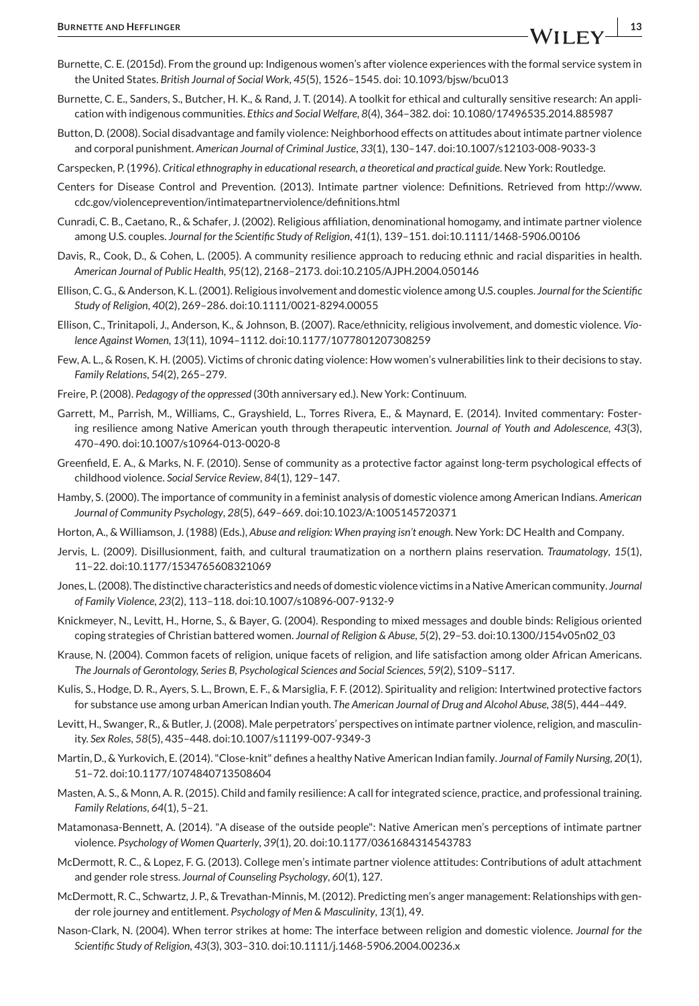- Burnette, C. E. (2015d). From the ground up: Indigenous women's after violence experiences with the formal service system in the United States. *British Journal of Social Work*, *45*(5), 1526–1545. doi: 10.1093/bjsw/bcu013
- Burnette, C. E., Sanders, S., Butcher, H. K., & Rand, J. T. (2014). A toolkit for ethical and culturally sensitive research: An application with indigenous communities. *Ethics and Social Welfare*, *8*(4), 364–382. doi: 10.1080/17496535.2014.885987
- Button, D. (2008). Social disadvantage and family violence: Neighborhood effects on attitudes about intimate partner violence and corporal punishment. *American Journal of Criminal Justice*, *33*(1), 130–147. doi:10.1007/s12103-008-9033-3
- Carspecken, P. (1996). *Critical ethnography in educational research, a theoretical and practical guide*. New York: Routledge.
- Centers for Disease Control and Prevention. (2013). Intimate partner violence: Definitions. Retrieved from http://www. cdc.gov/violenceprevention/intimatepartnerviolence/definitions.html
- Cunradi, C. B., Caetano, R., & Schafer, J. (2002). Religious affiliation, denominational homogamy, and intimate partner violence among U.S. couples. *Journal for the Scientific Study of Religion*, *41*(1), 139–151. doi:10.1111/1468-5906.00106
- Davis, R., Cook, D., & Cohen, L. (2005). A community resilience approach to reducing ethnic and racial disparities in health. *American Journal of Public Health*, *95*(12), 2168–2173. doi:10.2105/AJPH.2004.050146
- Ellison, C. G., & Anderson, K. L. (2001). Religious involvement and domestic violence among U.S. couples. *Journal for the Scientific Study of Religion*, *40*(2), 269–286. doi:10.1111/0021-8294.00055
- Ellison, C., Trinitapoli, J., Anderson, K., & Johnson, B. (2007). Race/ethnicity, religious involvement, and domestic violence. *Violence Against Women*, *13*(11), 1094–1112. doi:10.1177/1077801207308259
- Few, A. L., & Rosen, K. H. (2005). Victims of chronic dating violence: How women's vulnerabilities link to their decisions to stay. *Family Relations*, *54*(2), 265–279.
- Freire, P. (2008). *Pedagogy of the oppressed* (30th anniversary ed.). New York: Continuum.
- Garrett, M., Parrish, M., Williams, C., Grayshield, L., Torres Rivera, E., & Maynard, E. (2014). Invited commentary: Fostering resilience among Native American youth through therapeutic intervention. *Journal of Youth and Adolescence*, *43*(3), 470–490. doi:10.1007/s10964-013-0020-8
- Greenfield, E. A., & Marks, N. F. (2010). Sense of community as a protective factor against long-term psychological effects of childhood violence. *Social Service Review*, *84*(1), 129–147.
- Hamby, S. (2000). The importance of community in a feminist analysis of domestic violence among American Indians. *American Journal of Community Psychology*, *28*(5), 649–669. doi:10.1023/A:1005145720371
- Horton, A., & Williamson, J. (1988) (Eds.), *Abuse and religion: When praying isn't enough*. New York: DC Health and Company.
- Jervis, L. (2009). Disillusionment, faith, and cultural traumatization on a northern plains reservation. *Traumatology*, *15*(1), 11–22. doi:10.1177/1534765608321069
- Jones, L. (2008). The distinctive characteristics and needs of domestic violence victims in a Native American community. *Journal of Family Violence*, *23*(2), 113–118. doi:10.1007/s10896-007-9132-9
- Knickmeyer, N., Levitt, H., Horne, S., & Bayer, G. (2004). Responding to mixed messages and double binds: Religious oriented coping strategies of Christian battered women. *Journal of Religion & Abuse*, *5*(2), 29–53. doi:10.1300/J154v05n02\_03
- Krause, N. (2004). Common facets of religion, unique facets of religion, and life satisfaction among older African Americans. *The Journals of Gerontology, Series B, Psychological Sciences and Social Sciences*, *59*(2), S109–S117.
- Kulis, S., Hodge, D. R., Ayers, S. L., Brown, E. F., & Marsiglia, F. F. (2012). Spirituality and religion: Intertwined protective factors for substance use among urban American Indian youth. *The American Journal of Drug and Alcohol Abuse*, *38*(5), 444–449.
- Levitt, H., Swanger, R., & Butler, J. (2008). Male perpetrators' perspectives on intimate partner violence, religion, and masculinity. *Sex Roles*, *58*(5), 435–448. doi:10.1007/s11199-007-9349-3
- Martin, D., & Yurkovich, E. (2014). "Close-knit" defines a healthy Native American Indian family. *Journal of Family Nursing*, *20*(1), 51–72. doi:10.1177/1074840713508604
- Masten, A. S., & Monn, A. R. (2015). Child and family resilience: A call for integrated science, practice, and professional training. *Family Relations*, *64*(1), 5–21.
- Matamonasa-Bennett, A. (2014). "A disease of the outside people": Native American men's perceptions of intimate partner violence. *Psychology of Women Quarterly*, *39*(1), 20. doi:10.1177/0361684314543783
- McDermott, R. C., & Lopez, F. G. (2013). College men's intimate partner violence attitudes: Contributions of adult attachment and gender role stress. *Journal of Counseling Psychology*, *60*(1), 127.
- McDermott, R. C., Schwartz, J. P., & Trevathan-Minnis, M. (2012). Predicting men's anger management: Relationships with gender role journey and entitlement. *Psychology of Men & Masculinity*, *13*(1), 49.
- Nason-Clark, N. (2004). When terror strikes at home: The interface between religion and domestic violence. *Journal for the Scientific Study of Religion*, *43*(3), 303–310. doi:10.1111/j.1468-5906.2004.00236.x